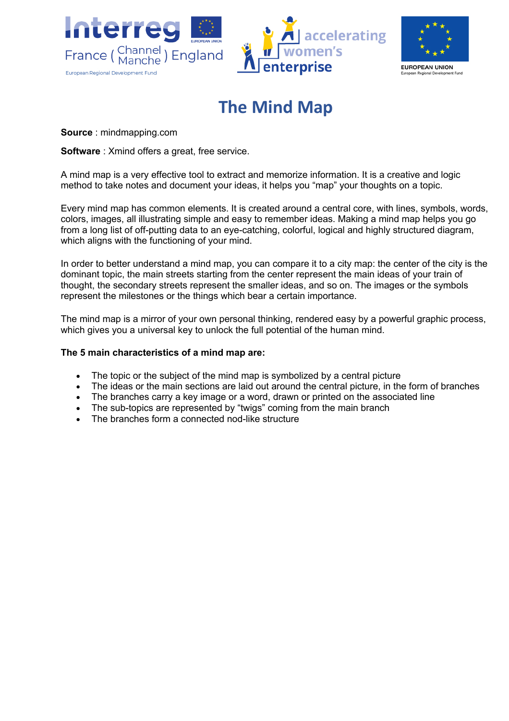



## **The Mind Map**

**Source** : mindmapping.com

**Software**: Xmind offers a great, free service.

A mind map is a very effective tool to extract and memorize information. It is a creative and logic method to take notes and document your ideas, it helps you "map" your thoughts on a topic.

Every mind map has common elements. It is created around a central core, with lines, symbols, words, colors, images, all illustrating simple and easy to remember ideas. Making a mind map helps you go from a long list of off-putting data to an eye-catching, colorful, logical and highly structured diagram, which aligns with the functioning of your mind.

In order to better understand a mind map, you can compare it to a city map: the center of the city is the dominant topic, the main streets starting from the center represent the main ideas of your train of thought, the secondary streets represent the smaller ideas, and so on. The images or the symbols represent the milestones or the things which bear a certain importance.

The mind map is a mirror of your own personal thinking, rendered easy by a powerful graphic process, which gives you a universal key to unlock the full potential of the human mind.

## **The 5 main characteristics of a mind map are:**

- The topic or the subject of the mind map is symbolized by a central picture
- The ideas or the main sections are laid out around the central picture, in the form of branches
- The branches carry a key image or a word, drawn or printed on the associated line
- The sub-topics are represented by "twigs" coming from the main branch
- The branches form a connected nod-like structure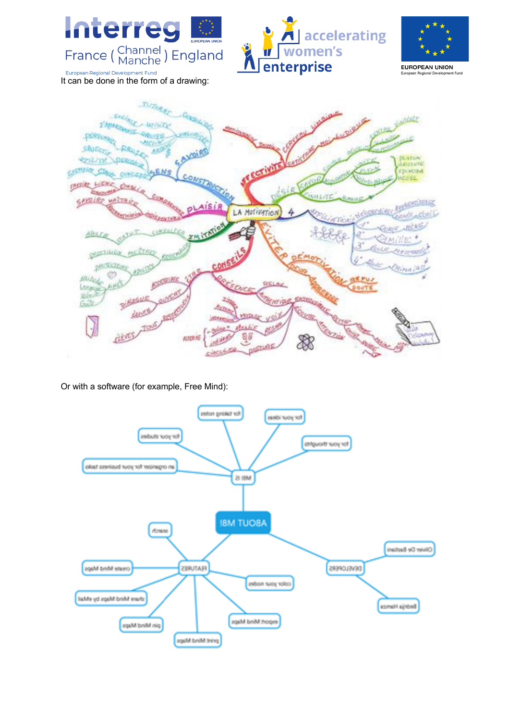

Or with a software (for example, Free Mind):